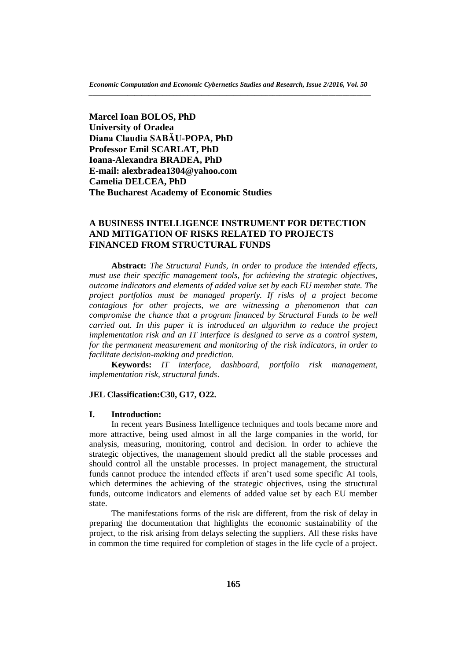**Marcel Ioan BOLOS, PhD University of Oradea Diana Claudia SABĂU-POPA, PhD Professor Emil SCARLAT, PhD Ioana-Alexandra BRADEA, PhD E-mail: alexbradea1304@yahoo.com Camelia DELCEA, PhD The Bucharest Academy of Economic Studies**

# **A BUSINESS INTELLIGENCE INSTRUMENT FOR DETECTION AND MITIGATION OF RISKS RELATED TO PROJECTS FINANCED FROM STRUCTURAL FUNDS**

**Abstract:** *The Structural Funds, in order to produce the intended effects, must use their specific management tools, for achieving the strategic objectives, outcome indicators and elements of added value set by each EU member state. The project portfolios must be managed properly. If risks of a project become contagious for other projects, we are witnessing a phenomenon that can compromise the chance that a program financed by Structural Funds to be well carried out. In this paper it is introduced an algorithm to reduce the project implementation risk and an IT interface is designed to serve as a control system, for the permanent measurement and monitoring of the risk indicators, in order to facilitate decision-making and prediction.*

**Keywords:** *IT interface, dashboard, portfolio risk management, implementation risk, structural funds*.

## **JEL Classification:C30, G17, O22.**

## **I. Introduction:**

In recent years Business Intelligence techniques and tools became more and more attractive, being used almost in all the large companies in the world, for analysis, measuring, monitoring, control and decision. In order to achieve the strategic objectives, the management should predict all the stable processes and should control all the unstable processes. In project management, the structural funds cannot produce the intended effects if aren't used some specific AI tools, which determines the achieving of the strategic objectives, using the structural funds, outcome indicators and elements of added value set by each EU member state.

The manifestations forms of the risk are different, from the risk of delay in preparing the documentation that highlights the economic sustainability of the project, to the risk arising from delays selecting the suppliers. All these risks have in common the time required for completion of stages in the life cycle of a project.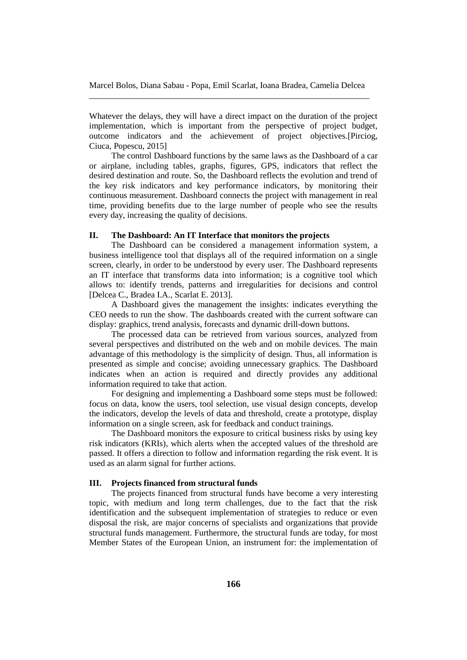Whatever the delays, they will have a direct impact on the duration of the project implementation, which is important from the perspective of project budget, outcome indicators and the achievement of project objectives.[Pirciog, Ciuca, Popescu, 2015]

The control Dashboard functions by the same laws as the Dashboard of a car or airplane, including tables, graphs, figures, GPS, indicators that reflect the desired destination and route. So, the Dashboard reflects the evolution and trend of the key risk indicators and key performance indicators, by monitoring their continuous measurement. Dashboard connects the project with management in real time, providing benefits due to the large number of people who see the results every day, increasing the quality of decisions.

# **II. The Dashboard: An IT Interface that monitors the projects**

The Dashboard can be considered a management information system, a business intelligence tool that displays all of the required information on a single screen, clearly, in order to be understood by every user. The Dashboard represents an IT interface that transforms data into information; is a cognitive tool which allows to: identify trends, patterns and irregularities for decisions and control [Delcea C., Bradea I.A., Scarlat E. 2013].

A Dashboard gives the management the insights: indicates everything the CEO needs to run the show. The dashboards created with the current software can display: graphics, trend analysis, forecasts and dynamic drill-down buttons.

The processed data can be retrieved from various sources, analyzed from several perspectives and distributed on the web and on mobile devices. The main advantage of this methodology is the simplicity of design. Thus, all information is presented as simple and concise; avoiding unnecessary graphics. The Dashboard indicates when an action is required and directly provides any additional information required to take that action.

For designing and implementing a Dashboard some steps must be followed: focus on data, know the users, tool selection, use visual design concepts, develop the indicators, develop the levels of data and threshold, create a prototype, display information on a single screen, ask for feedback and conduct trainings.

The Dashboard monitors the exposure to critical business risks by using key risk indicators (KRIs), which alerts when the accepted values of the threshold are passed. It offers a direction to follow and information regarding the risk event. It is used as an alarm signal for further actions.

### **III. Projects financed from structural funds**

The projects financed from structural funds have become a very interesting topic, with medium and long term challenges, due to the fact that the risk identification and the subsequent implementation of strategies to reduce or even disposal the risk, are major concerns of specialists and organizations that provide structural funds management. Furthermore, the structural funds are today, for most Member States of the European Union, an instrument for: the implementation of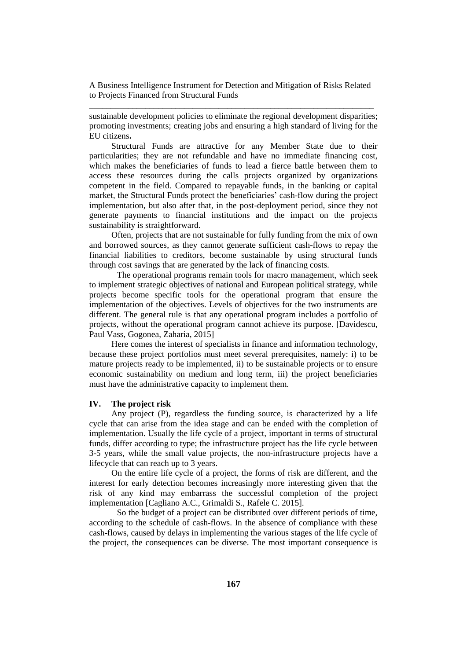sustainable development policies to eliminate the regional development disparities; promoting investments; creating jobs and ensuring a high standard of living for the EU citizens**.**

Structural Funds are attractive for any Member State due to their particularities; they are not refundable and have no immediate financing cost, which makes the beneficiaries of funds to lead a fierce battle between them to access these resources during the calls projects organized by organizations competent in the field. Compared to repayable funds, in the banking or capital market, the Structural Funds protect the beneficiaries' cash-flow during the project implementation, but also after that, in the post-deployment period, since they not generate payments to financial institutions and the impact on the projects sustainability is straightforward.

Often, projects that are not sustainable for fully funding from the mix of own and borrowed sources, as they cannot generate sufficient cash-flows to repay the financial liabilities to creditors, become sustainable by using structural funds through cost savings that are generated by the lack of financing costs.

The operational programs remain tools for macro management, which seek to implement strategic objectives of national and European political strategy, while projects become specific tools for the operational program that ensure the implementation of the objectives. Levels of objectives for the two instruments are different. The general rule is that any operational program includes a portfolio of projects, without the operational program cannot achieve its purpose. [Davidescu, Paul Vass, Gogonea, Zaharia, 2015]

Here comes the interest of specialists in finance and information technology, because these project portfolios must meet several prerequisites, namely: i) to be mature projects ready to be implemented, ii) to be sustainable projects or to ensure economic sustainability on medium and long term, iii) the project beneficiaries must have the administrative capacity to implement them.

## **IV. The project risk**

Any project (P), regardless the funding source, is characterized by a life cycle that can arise from the idea stage and can be ended with the completion of implementation. Usually the life cycle of a project, important in terms of structural funds, differ according to type; the infrastructure project has the life cycle between 3-5 years, while the small value projects, the non-infrastructure projects have a lifecycle that can reach up to 3 years.

On the entire life cycle of a project, the forms of risk are different, and the interest for early detection becomes increasingly more interesting given that the risk of any kind may embarrass the successful completion of the project implementation [Cagliano A.C., Grimaldi S., Rafele C. 2015].

So the budget of a project can be distributed over different periods of time, according to the schedule of cash-flows. In the absence of compliance with these cash-flows, caused by delays in implementing the various stages of the life cycle of the project, the consequences can be diverse. The most important consequence is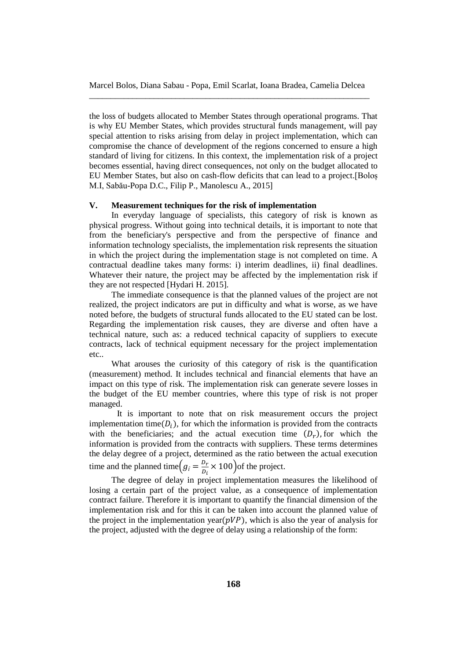the loss of budgets allocated to Member States through operational programs. That is why EU Member States, which provides structural funds management, will pay special attention to risks arising from delay in project implementation, which can compromise the chance of development of the regions concerned to ensure a high standard of living for citizens. In this context, the implementation risk of a project becomes essential, having direct consequences, not only on the budget allocated to EU Member States, but also on cash-flow deficits that can lead to a project.[Boloș M.I, Sabău-Popa D.C., Filip P., Manolescu A., 2015]

## **V. Measurement techniques for the risk of implementation**

In everyday language of specialists, this category of risk is known as physical progress. Without going into technical details, it is important to note that from the beneficiary's perspective and from the perspective of finance and information technology specialists, the implementation risk represents the situation in which the project during the implementation stage is not completed on time. A contractual deadline takes many forms: i) interim deadlines, ii) final deadlines. Whatever their nature, the project may be affected by the implementation risk if they are not respected [Hydari H. 2015].

The immediate consequence is that the planned values of the project are not realized, the project indicators are put in difficulty and what is worse, as we have noted before, the budgets of structural funds allocated to the EU stated can be lost. Regarding the implementation risk causes, they are diverse and often have a technical nature, such as: a reduced technical capacity of suppliers to execute contracts, lack of technical equipment necessary for the project implementation etc..

What arouses the curiosity of this category of risk is the quantification (measurement) method. It includes technical and financial elements that have an impact on this type of risk. The implementation risk can generate severe losses in the budget of the EU member countries, where this type of risk is not proper managed.

It is important to note that on risk measurement occurs the project implementation time( $D_i$ ), for which the information is provided from the contracts with the beneficiaries; and the actual execution time  $(D_r)$ , for which the information is provided from the contracts with suppliers. These terms determines the delay degree of a project, determined as the ratio between the actual execution time and the planned time $(g_i = \frac{D_r}{D_i})$  $\frac{D_r}{D_i} \times 100$  of the project.

The degree of delay in project implementation measures the likelihood of losing a certain part of the project value, as a consequence of implementation contract failure. Therefore it is important to quantify the financial dimension of the implementation risk and for this it can be taken into account the planned value of the project in the implementation year( $pVP$ ), which is also the year of analysis for the project, adjusted with the degree of delay using a relationship of the form: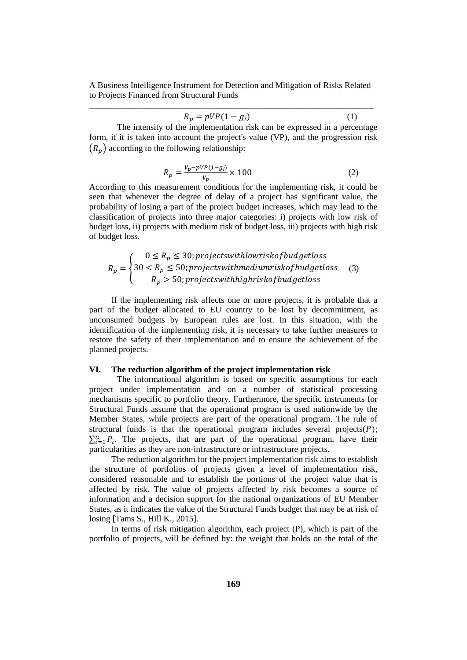$$
R_p = pVP(1 - g_i) \tag{1}
$$

The intensity of the implementation risk can be expressed in a percentage form, if it is taken into account the project's value (VP), and the progression risk  $(R_p)$  according to the following relationship:

$$
R_p = \frac{V_p - pVP(1 - g_i)}{V_p} \times 100
$$
 (2)

According to this measurement conditions for the implementing risk, it could be seen that whenever the degree of delay of a project has significant value, the probability of losing a part of the project budget increases, which may lead to the classification of projects into three major categories: i) projects with low risk of budget loss, ii) projects with medium risk of budget loss, iii) projects with high risk of budget loss.

$$
R_p = \begin{cases} 0 \le R_p \le 30; project with low risk of budget loss \\ 30 < R_p \le 50; project with medium risk of budget loss \\ R_p > 50; project switching brisk of budget loss \end{cases} \tag{3}
$$

If the implementing risk affects one or more projects, it is probable that a part of the budget allocated to EU country to be lost by decommitment, as unconsumed budgets by European rules are lost. In this situation, with the identification of the implementing risk, it is necessary to take further measures to restore the safety of their implementation and to ensure the achievement of the planned projects.

## **VI. The reduction algorithm of the project implementation risk**

The informational algorithm is based on specific assumptions for each project under implementation and on a number of statistical processing mechanisms specific to portfolio theory. Furthermore, the specific instruments for Structural Funds assume that the operational program is used nationwide by the Member States, while projects are part of the operational program. The rule of structural funds is that the operational program includes several projects $(P)$ ;  $\sum_{i=1}^{n} P_i$ . The projects, that are part of the operational program, have their particularities as they are non-infrastructure or infrastructure projects.

The reduction algorithm for the project implementation risk aims to establish the structure of portfolios of projects given a level of implementation risk, considered reasonable and to establish the portions of the project value that is affected by risk. The value of projects affected by risk becomes a source of information and a decision support for the national organizations of EU Member States, as it indicates the value of the Structural Funds budget that may be at risk of losing [Tams S., Hill K., 2015].

In terms of risk mitigation algorithm, each project (P), which is part of the portfolio of projects, will be defined by: the weight that holds on the total of the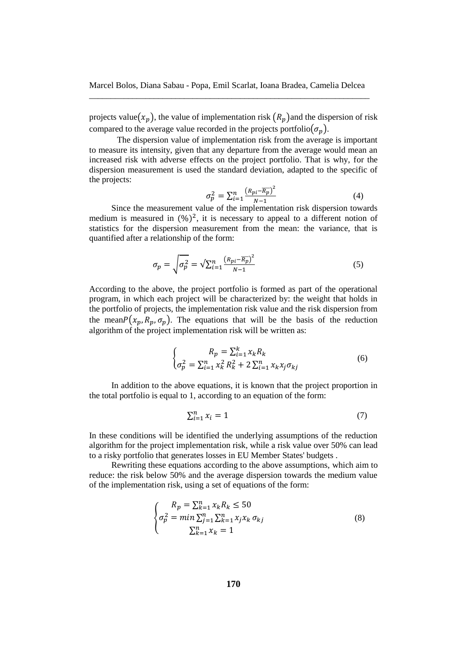projects value $(x_n)$ , the value of implementation risk  $(R_n)$  and the dispersion of risk compared to the average value recorded in the projects portfolio $(\sigma_n)$ .

The dispersion value of implementation risk from the average is important to measure its intensity, given that any departure from the average would mean an increased risk with adverse effects on the project portfolio. That is why, for the dispersion measurement is used the standard deviation, adapted to the specific of the projects:

$$
\sigma_p^2 = \sum_{i=1}^n \frac{\left(R_{pi} - \overline{R_p}\right)^2}{N-1} \tag{4}
$$

Since the measurement value of the implementation risk dispersion towards medium is measured in  $(\%)^2$ , it is necessary to appeal to a different notion of statistics for the dispersion measurement from the mean: the variance, that is quantified after a relationship of the form:

$$
\sigma_p = \sqrt{\sigma_p^2} = \sqrt{\sum_{i=1}^n \frac{\left(R_{pi} - \overline{R_p}\right)^2}{N-1}}
$$
\n<sup>(5)</sup>

According to the above, the project portfolio is formed as part of the operational program, in which each project will be characterized by: the weight that holds in the portfolio of projects, the implementation risk value and the risk dispersion from the mean $P(x_p, R_p, \sigma_p)$ . The equations that will be the basis of the reduction algorithm of the project implementation risk will be written as:

$$
\begin{cases}\nR_p = \sum_{i=1}^k x_k R_k \\
\sigma_p^2 = \sum_{i=1}^n x_k^2 R_k^2 + 2 \sum_{i=1}^n x_k x_j \sigma_{kj}\n\end{cases} (6)
$$

In addition to the above equations, it is known that the project proportion in the total portfolio is equal to 1, according to an equation of the form:

$$
\sum_{i=1}^{n} x_i = 1 \tag{7}
$$

In these conditions will be identified the underlying assumptions of the reduction algorithm for the project implementation risk, while a risk value over 50% can lead to a risky portfolio that generates losses in EU Member States' budgets .

Rewriting these equations according to the above assumptions, which aim to reduce: the risk below 50% and the average dispersion towards the medium value of the implementation risk, using a set of equations of the form:

$$
\begin{cases}\nR_p = \sum_{k=1}^n x_k R_k \le 50 \\
\sigma_p^2 = \min \sum_{j=1}^n \sum_{k=1}^n x_j x_k \sigma_{kj} \\
\sum_{k=1}^n x_k = 1\n\end{cases} \tag{8}
$$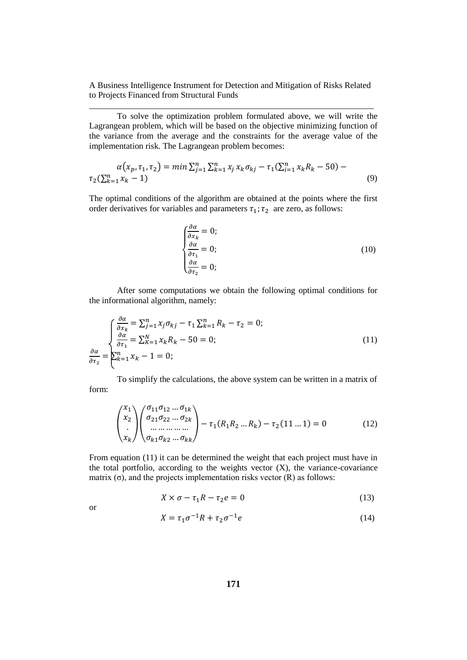To solve the optimization problem formulated above, we will write the Lagrangean problem, which will be based on the objective minimizing function of the variance from the average and the constraints for the average value of the implementation risk. The Lagrangean problem becomes:

$$
\alpha(x_p, \tau_1, \tau_2) = \min \sum_{j=1}^n \sum_{k=1}^n x_j x_k \sigma_{kj} - \tau_1(\sum_{i=1}^n x_k R_k - 50) - \tau_2(\sum_{k=1}^n x_k - 1)
$$
\n(9)

The optimal conditions of the algorithm are obtained at the points where the first order derivatives for variables and parameters  $\tau_1$ ;  $\tau_2$  are zero, as follows:

$$
\begin{cases}\n\frac{\partial \alpha}{\partial x_k} = 0; \\
\frac{\partial \alpha}{\partial \tau_1} = 0; \\
\frac{\partial \alpha}{\partial \tau_2} = 0;\n\end{cases}
$$
\n(10)

After some computations we obtain the following optimal conditions for the informational algorithm, namely:

$$
\frac{\partial \alpha}{\partial x_k} = \sum_{j=1}^n x_j \sigma_{kj} - \tau_1 \sum_{k=1}^n R_k - \tau_2 = 0;
$$
\n
$$
\frac{\partial \alpha}{\partial \tau_1} = \sum_{k=1}^N x_k R_k - 50 = 0;
$$
\n
$$
\frac{\partial \alpha}{\partial \tau_2} = \sum_{k=1}^n x_k - 1 = 0;
$$
\n(11)

To simplify the calculations, the above system can be written in a matrix of form:

$$
\begin{pmatrix} x_1 \\ x_2 \\ \vdots \\ x_k \end{pmatrix} \begin{pmatrix} \sigma_{11}\sigma_{12} \dots \sigma_{1k} \\ \sigma_{21}\sigma_{22} \dots \sigma_{2k} \\ \dots \\ \sigma_{k1}\sigma_{k2} \dots \sigma_{kk} \end{pmatrix} - \tau_1(R_1R_2 \dots R_k) - \tau_2(11 \dots 1) = 0 \tag{12}
$$

From equation (11) it can be determined the weight that each project must have in the total portfolio, according to the weights vector  $(X)$ , the variance-covariance matrix  $(\sigma)$ , and the projects implementation risks vector  $(R)$  as follows:

$$
X \times \sigma - \tau_1 R - \tau_2 e = 0 \tag{13}
$$

or

$$
X = \tau_1 \sigma^{-1} R + \tau_2 \sigma^{-1} e \tag{14}
$$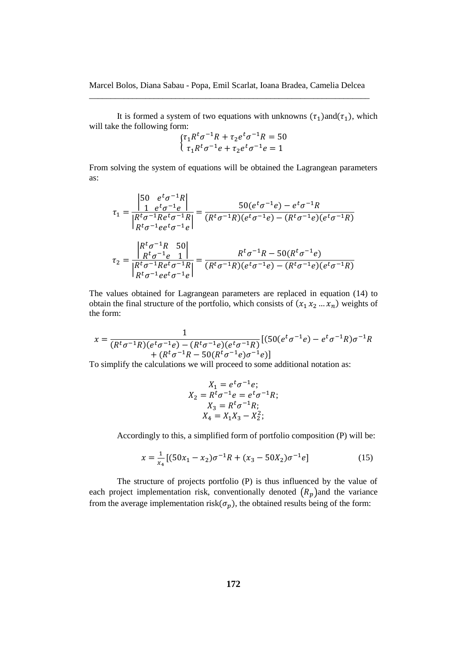It is formed a system of two equations with unknowns  $(\tau_1)$  and  $(\tau_1)$ , which will take the following form:

$$
\begin{cases} \tau_1 R^t \sigma^{-1} R + \tau_2 e^t \sigma^{-1} R = 50 \\ \tau_1 R^t \sigma^{-1} e + \tau_2 e^t \sigma^{-1} e = 1 \end{cases}
$$

From solving the system of equations will be obtained the Lagrangean parameters as:

$$
\tau_1 = \frac{\begin{vmatrix} 50 & e^t \sigma^{-1} R \\ 1 & e^t \sigma^{-1} e \end{vmatrix}}{\begin{vmatrix} R^t \sigma^{-1} Re^t \sigma^{-1} R \end{vmatrix}} = \frac{50(e^t \sigma^{-1} e) - e^t \sigma^{-1} R}{(R^t \sigma^{-1} R)(e^t \sigma^{-1} e) - (R^t \sigma^{-1} e)(e^t \sigma^{-1} R)}
$$

$$
\tau_2 = \frac{\begin{vmatrix} R^t \sigma^{-1} R & 50 \\ R^t \sigma^{-1} e & 1 \end{vmatrix}}{\begin{vmatrix} R^t \sigma^{-1} Re^t \sigma^{-1} R \end{vmatrix}} = \frac{R^t \sigma^{-1} R - 50(R^t \sigma^{-1} e) }{(R^t \sigma^{-1} R)(e^t \sigma^{-1} e) - (R^t \sigma^{-1} e)(e^t \sigma^{-1} R)}
$$

The values obtained for Lagrangean parameters are replaced in equation (14) to obtain the final structure of the portfolio, which consists of  $(x_1 x_2 ... x_n)$  weights of the form:

$$
x = \frac{1}{(R^t \sigma^{-1} R)(e^t \sigma^{-1} e) - (R^t \sigma^{-1} e)(e^t \sigma^{-1} R)} \left[ (50(e^t \sigma^{-1} e) - e^t \sigma^{-1} R) \sigma^{-1} R \right. \\ \left. + (R^t \sigma^{-1} R - 50(R^t \sigma^{-1} e) \sigma^{-1} e) \right]
$$

To simplify the calculations we will proceed to some additional notation as:

$$
X_1 = e^t \sigma^{-1} e;
$$
  
\n
$$
X_2 = R^t \sigma^{-1} e = e^t \sigma^{-1} R;
$$
  
\n
$$
X_3 = R^t \sigma^{-1} R;
$$
  
\n
$$
X_4 = X_1 X_3 - X_2^2;
$$

Accordingly to this, a simplified form of portfolio composition (P) will be:

$$
x = \frac{1}{x_4} \left[ (50x_1 - x_2)\sigma^{-1}R + (x_3 - 50X_2)\sigma^{-1}e \right]
$$
 (15)

The structure of projects portfolio (P) is thus influenced by the value of each project implementation risk, conventionally denoted  $(R_p)$  and the variance from the average implementation risk( $\sigma_p$ ), the obtained results being of the form: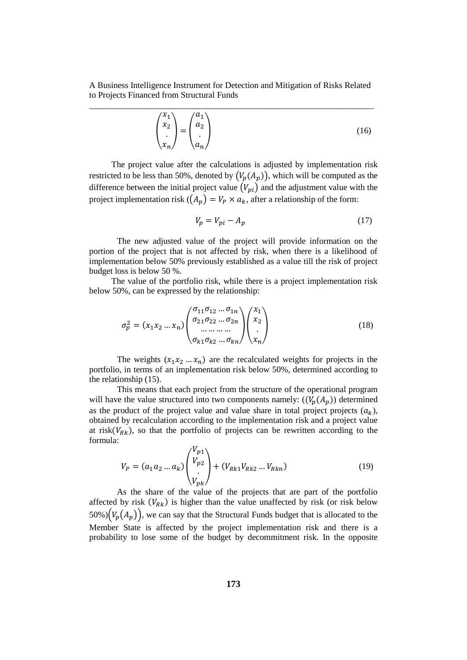$$
\begin{pmatrix} x_1 \\ x_2 \\ \vdots \\ x_n \end{pmatrix} = \begin{pmatrix} a_1 \\ a_2 \\ \vdots \\ a_n \end{pmatrix}
$$
 (16)

The project value after the calculations is adjusted by implementation risk restricted to be less than 50%, denoted by  $(V_n(A_n))$ , which will be computed as the difference between the initial project value  $(V_{ni})$  and the adjustment value with the project implementation risk ( $(A_p) = V_p \times a_k$ , after a relationship of the form:

$$
V_p = V_{pi} - A_p \tag{17}
$$

The new adjusted value of the project will provide information on the portion of the project that is not affected by risk, when there is a likelihood of implementation below 50% previously established as a value till the risk of project budget loss is below 50 %.

The value of the portfolio risk, while there is a project implementation risk below 50%, can be expressed by the relationship:

$$
\sigma_p^2 = (x_1 x_2 \dots x_n) \begin{pmatrix} \sigma_{11} \sigma_{12} \dots \sigma_{1n} \\ \sigma_{21} \sigma_{22} \dots \sigma_{2n} \\ \dots \\ \sigma_{k1} \sigma_{k2} \dots \sigma_{kn} \end{pmatrix} \begin{pmatrix} x_1 \\ x_2 \\ \vdots \\ x_n \end{pmatrix}
$$
(18)

The weights  $(x_1 x_2 ... x_n)$  are the recalculated weights for projects in the portfolio, in terms of an implementation risk below 50%, determined according to the relationship (15).

This means that each project from the structure of the operational program will have the value structured into two components namely:  $((V_n(A_n))$  determined as the product of the project value and value share in total project projects  $(a_k)$ , obtained by recalculation according to the implementation risk and a project value at risk( $V_{Rk}$ ), so that the portfolio of projects can be rewritten according to the formula:

$$
V_P = (a_1 a_2 ... a_k) \begin{pmatrix} V_{p1} \\ V_{p2} \\ \vdots \\ V_{pk} \end{pmatrix} + (V_{Rk1} V_{Rk2} ... V_{Rkn})
$$
(19)

As the share of the value of the projects that are part of the portfolio affected by risk  $(V_{Rk})$  is higher than the value unaffected by risk (or risk below 50%) $(V_p(A_p))$ , we can say that the Structural Funds budget that is allocated to the Member State is affected by the project implementation risk and there is a probability to lose some of the budget by decommitment risk. In the opposite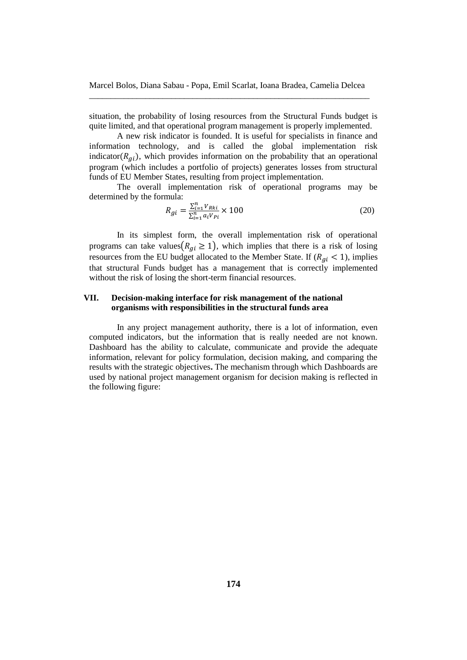situation, the probability of losing resources from the Structural Funds budget is quite limited, and that operational program management is properly implemented.

A new risk indicator is founded. It is useful for specialists in finance and information technology, and is called the global implementation risk indicator( $R_{gi}$ ), which provides information on the probability that an operational program (which includes a portfolio of projects) generates losses from structural funds of EU Member States, resulting from project implementation.

The overall implementation risk of operational programs may be determined by the formula:

$$
R_{gi} = \frac{\sum_{i=1}^{n} V_{Rki}}{\sum_{i=1}^{n} a_i V_{Pi}} \times 100
$$
\n(20)

In its simplest form, the overall implementation risk of operational programs can take values( $R_{qi} \ge 1$ ), which implies that there is a risk of losing resources from the EU budget allocated to the Member State. If  $(R_{qi} < 1)$ , implies that structural Funds budget has a management that is correctly implemented without the risk of losing the short-term financial resources.

## **VII. Decision-making interface for risk management of the national organisms with responsibilities in the structural funds area**

In any project management authority, there is a lot of information, even computed indicators, but the information that is really needed are not known. Dashboard has the ability to calculate, communicate and provide the adequate information, relevant for policy formulation, decision making, and comparing the results with the strategic objectives**.** The mechanism through which Dashboards are used by national project management organism for decision making is reflected in the following figure: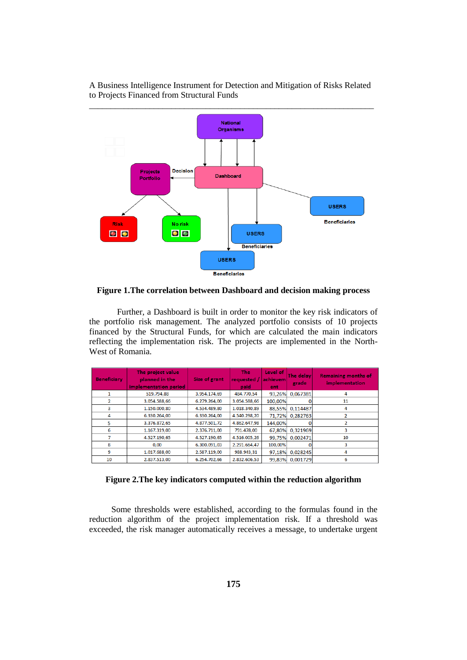



**Figure 1.The correlation between Dashboard and decision making process**

Further, a Dashboard is built in order to monitor the key risk indicators of the portfolio risk management. The analyzed portfolio consists of 10 projects financed by the Structural Funds, for which are calculated the main indicators reflecting the implementation risk. The projects are implemented in the North-West of Romania.

| <b>Beneficiary</b> | The project value<br>planned in the<br>implementation period | Size of grant | The<br>requested<br>paid | Level of<br>achievem<br>ent | The delay<br>grade | <b>Remaining months of</b><br>implementation |
|--------------------|--------------------------------------------------------------|---------------|--------------------------|-----------------------------|--------------------|----------------------------------------------|
|                    | 519.794,88                                                   | 3.954.174,69  | 484.770,54               | 93,26%                      | 0.067381           | 4                                            |
| 2                  | 3.054.588,66                                                 | 6.279.264,00  | 3.054.588,66             | 100,00%                     |                    | 11                                           |
| 3                  | 1.150.000,80                                                 | 4.534.489,80  | 1.018.340,89             | 88.55%                      | 0.114487           | 4                                            |
| 4                  | 6.330.264.00                                                 | 6.330.264.00  | 4.540.298.20             | 71.72%                      | 0.282763           |                                              |
| 5                  | 3.376.872.65                                                 | 4.877.501.72  | 4.862.647.98             | 144.00%                     |                    | $\overline{2}$                               |
| 6                  | 1.167.319,00                                                 | 2.376.711,00  | 791.478.00               | 67.80%                      | 0.321969           | 3                                            |
|                    | 4.527.190,65                                                 | 4.527.190,65  | 4.516.005,26             | 99.75%                      | 0.002471           | 10                                           |
| 8                  | 0,00                                                         | 6.300.091,03  | 2.291.664,47             | 100,00%                     |                    | 3                                            |
| 9                  | 1.017.688,00                                                 | 2.587.119,00  | 988.943,31               | 97,18%                      | 0.028245           | 4                                            |
| 10                 | 2.837.513.00                                                 | 6.254.702.66  | 2.832.606.53             | 99,83%                      | 0.001729           | 6                                            |

**Figure 2.The key indicators computed within the reduction algorithm**

Some thresholds were established, according to the formulas found in the reduction algorithm of the project implementation risk. If a threshold was exceeded, the risk manager automatically receives a message, to undertake urgent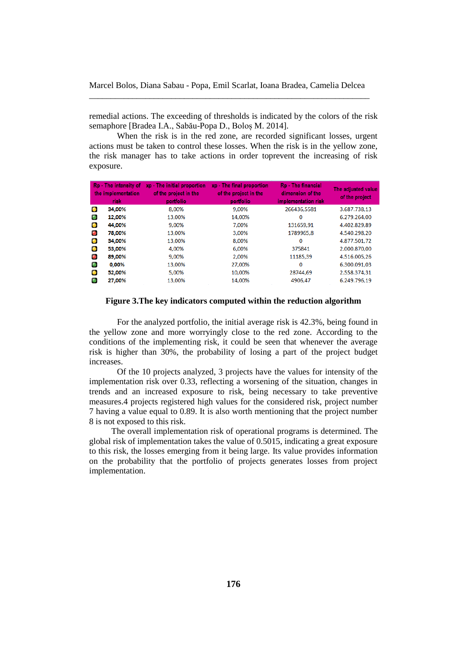remedial actions. The exceeding of thresholds is indicated by the colors of the risk semaphore [Bradea I.A., Sabău-Popa D., Boloș M. 2014].

When the risk is in the red zone, are recorded significant losses, urgent actions must be taken to control these losses. When the risk is in the yellow zone, the risk manager has to take actions in order toprevent the increasing of risk exposure.

|           | Rp - The intensity of<br>the implementation<br>risk | xp - The initial proportion<br>of the project in the<br>portfolio | xp - The final proportion<br>of the project in the<br>portfolio | Rp - The financial<br>dimension of the<br>implementation risk | The adjusted value<br>of the project |
|-----------|-----------------------------------------------------|-------------------------------------------------------------------|-----------------------------------------------------------------|---------------------------------------------------------------|--------------------------------------|
| О         | 34,00%                                              | 8.00%                                                             | 9.00%                                                           | 266436.5581                                                   | 3.687.738.13                         |
| $\bullet$ | 12,00%                                              | 13.00%                                                            | 14.00%                                                          | $\mathbf 0$                                                   | 6.279.264.00                         |
| $\bullet$ | 44,00%                                              | 9.00%                                                             | 7.00%                                                           | 131659.91                                                     | 4.402.829.89                         |
| $\bullet$ | 78,00%                                              | 13,00%                                                            | 3,00%                                                           | 1789965,8                                                     | 4.540.298.20                         |
| $\bullet$ | 34,00%                                              | 13,00%                                                            | 8,00%                                                           | $\Omega$                                                      | 4.877.501.72                         |
| $\bullet$ | 53,00%                                              | 4.00%                                                             | 6,00%                                                           | 375841                                                        | 2.000.870,00                         |
| $\bullet$ | 89,00%                                              | 9,00%                                                             | 2,00%                                                           | 11185,39                                                      | 4.516.005,26                         |
| $\bullet$ | 0,00%                                               | 13,00%                                                            | 27.00%                                                          | $\mathbf 0$                                                   | 6.300.091.03                         |
| $\bullet$ | 52,00%                                              | 5.00%                                                             | 10.00%                                                          | 28744,69                                                      | 2.558.374.31                         |
| o         | 27,00%                                              | 13,00%                                                            | 14.00%                                                          | 4906.47                                                       | 6.249.796.19                         |

**Figure 3.The key indicators computed within the reduction algorithm**

For the analyzed portfolio, the initial average risk is 42.3%, being found in the yellow zone and more worryingly close to the red zone. According to the conditions of the implementing risk, it could be seen that whenever the average risk is higher than 30%, the probability of losing a part of the project budget increases.

Of the 10 projects analyzed, 3 projects have the values for intensity of the implementation risk over 0.33, reflecting a worsening of the situation, changes in trends and an increased exposure to risk, being necessary to take preventive measures.4 projects registered high values for the considered risk, project number 7 having a value equal to 0.89. It is also worth mentioning that the project number 8 is not exposed to this risk.

The overall implementation risk of operational programs is determined. The global risk of implementation takes the value of 0.5015, indicating a great exposure to this risk, the losses emerging from it being large. Its value provides information on the probability that the portfolio of projects generates losses from project implementation.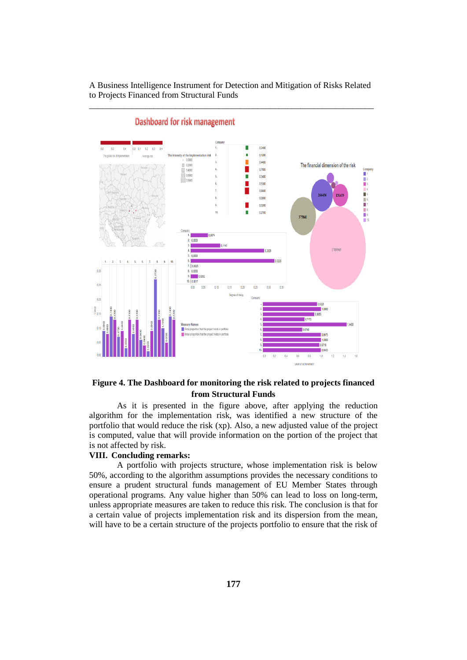

Dashboard for risk management

# **Figure 4. The Dashboard for monitoring the risk related to projects financed from Structural Funds**

As it is presented in the figure above, after applying the reduction algorithm for the implementation risk, was identified a new structure of the portfolio that would reduce the risk (xp). Also, a new adjusted value of the project is computed, value that will provide information on the portion of the project that is not affected by risk.

## **VIII. Concluding remarks:**

A portfolio with projects structure, whose implementation risk is below 50%, according to the algorithm assumptions provides the necessary conditions to ensure a prudent structural funds management of EU Member States through operational programs. Any value higher than 50% can lead to loss on long-term, unless appropriate measures are taken to reduce this risk. The conclusion is that for a certain value of projects implementation risk and its dispersion from the mean, will have to be a certain structure of the projects portfolio to ensure that the risk of